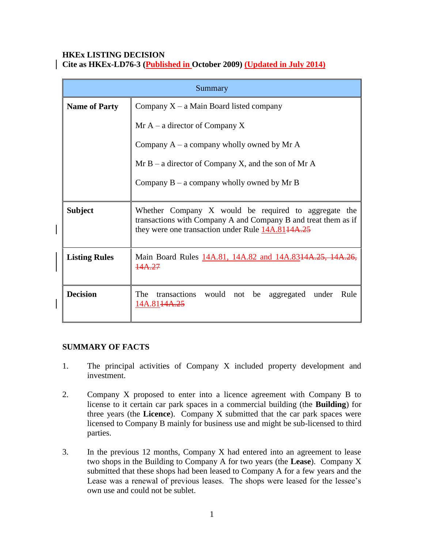# **HKEx LISTING DECISION**

| Cite as HKEx-LD76-3 (Published in October 2009) (Updated in July 2014) |  |  |  |
|------------------------------------------------------------------------|--|--|--|
|------------------------------------------------------------------------|--|--|--|

| Summary              |                                                                                                                                                                             |  |
|----------------------|-----------------------------------------------------------------------------------------------------------------------------------------------------------------------------|--|
| <b>Name of Party</b> | Company $X - a$ Main Board listed company                                                                                                                                   |  |
|                      | Mr $A - a$ director of Company X                                                                                                                                            |  |
|                      | Company $A - a$ company wholly owned by Mr A                                                                                                                                |  |
|                      | $Mr B - a$ director of Company X, and the son of Mr A                                                                                                                       |  |
|                      | Company $B - a$ company wholly owned by Mr B                                                                                                                                |  |
| <b>Subject</b>       | Whether Company X would be required to aggregate the<br>transactions with Company A and Company B and treat them as if<br>they were one transaction under Rule 14A.8144A.25 |  |
| <b>Listing Rules</b> | Main Board Rules 14A.81, 14A.82 and 14A.8314A.25, 14A.26,<br>14A.27                                                                                                         |  |
| <b>Decision</b>      | The<br>transactions would not be<br>aggregated under<br>Rule<br>14A.81 <del>14A.25</del>                                                                                    |  |

### **SUMMARY OF FACTS**

- 1. The principal activities of Company X included property development and investment.
- 2. Company X proposed to enter into a licence agreement with Company B to license to it certain car park spaces in a commercial building (the **Building**) for three years (the **Licence**). Company X submitted that the car park spaces were licensed to Company B mainly for business use and might be sub-licensed to third parties.
- 3. In the previous 12 months, Company X had entered into an agreement to lease two shops in the Building to Company A for two years (the **Lease**). Company X submitted that these shops had been leased to Company A for a few years and the Lease was a renewal of previous leases. The shops were leased for the lessee's own use and could not be sublet.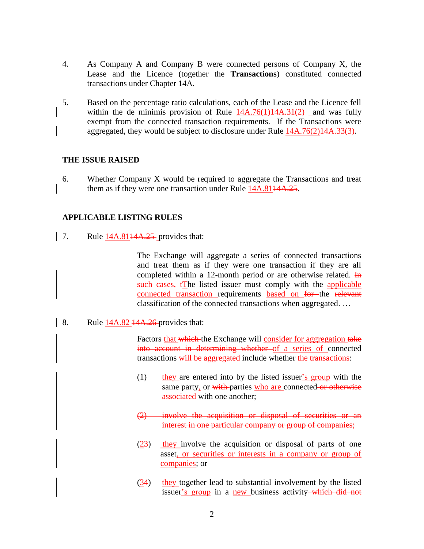- 4. As Company A and Company B were connected persons of Company X, the Lease and the Licence (together the **Transactions**) constituted connected transactions under Chapter 14A.
- 5. Based on the percentage ratio calculations, each of the Lease and the Licence fell within the de minimis provision of Rule  $14A.76(1)14A.31(2)$  and was fully exempt from the connected transaction requirements. If the Transactions were aggregated, they would be subject to disclosure under Rule 14A.76(2)14A.33(3).

#### **THE ISSUE RAISED**

6. Whether Company X would be required to aggregate the Transactions and treat them as if they were one transaction under Rule 14A.8144A.25.

### **APPLICABLE LISTING RULES**

7. Rule  $14A.814A.25$ -provides that:

The Exchange will aggregate a series of connected transactions and treat them as if they were one transaction if they are all completed within a 12-month period or are otherwise related. In such cases, twee listed issuer must comply with the applicable connected transaction requirements based on for the relevant classification of the connected transactions when aggregated. …

8. Rule  $14A.82\overline{4A.26}$  provides that:

Factors that which the Exchange will consider for aggregation take into account in determining whether of a series of connected transactions will be aggregated-include whether the transactions:

- $(1)$  they are entered into by the listed issuer's group with the same party, or with parties who are connected or otherwise associated with one another;
- (2) involve the acquisition or disposal of securities or an interest in one particular company or group of companies;
- (23) they involve the acquisition or disposal of parts of one asset, or securities or interests in a company or group of companies; or
- (34) they together lead to substantial involvement by the listed issuer's group in a new business activity—which did not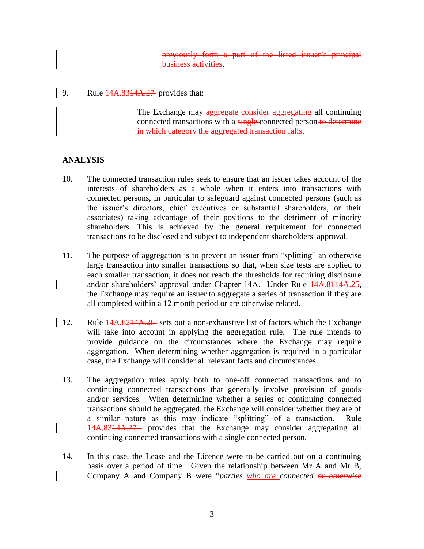previously form a part of the listed issuer's principal business activities.

9. Rule 14A.8314A.27 provides that:

The Exchange may aggregate consider aggregating all continuing connected transactions with a single-connected person-to-determine in which category the aggregated transaction falls.

# **ANALYSIS**

- 10. The connected transaction rules seek to ensure that an issuer takes account of the interests of shareholders as a whole when it enters into transactions with connected persons, in particular to safeguard against connected persons (such as the issuer's directors, chief executives or substantial shareholders, or their associates) taking advantage of their positions to the detriment of minority shareholders. This is achieved by the general requirement for connected transactions to be disclosed and subject to independent shareholders' approval.
- 11. The purpose of aggregation is to prevent an issuer from "splitting" an otherwise large transaction into smaller transactions so that, when size tests are applied to each smaller transaction, it does not reach the thresholds for requiring disclosure and/or shareholders' approval under Chapter 14A. Under Rule 14A.8144A.25, the Exchange may require an issuer to aggregate a series of transaction if they are all completed within a 12 month period or are otherwise related.
- 12. Rule 14A.8214A.26 sets out a non-exhaustive list of factors which the Exchange will take into account in applying the aggregation rule. The rule intends to provide guidance on the circumstances where the Exchange may require aggregation. When determining whether aggregation is required in a particular case, the Exchange will consider all relevant facts and circumstances.
- 13. The aggregation rules apply both to one-off connected transactions and to continuing connected transactions that generally involve provision of goods and/or services. When determining whether a series of continuing connected transactions should be aggregated, the Exchange will consider whether they are of a similar nature as this may indicate "splitting" of a transaction. Rule 14A.8314A.27 provides that the Exchange may consider aggregating all continuing connected transactions with a single connected person.
- 14. In this case, the Lease and the Licence were to be carried out on a continuing basis over a period of time. Given the relationship between Mr A and Mr B, Company A and Company B were "*parties who are connected or otherwise*